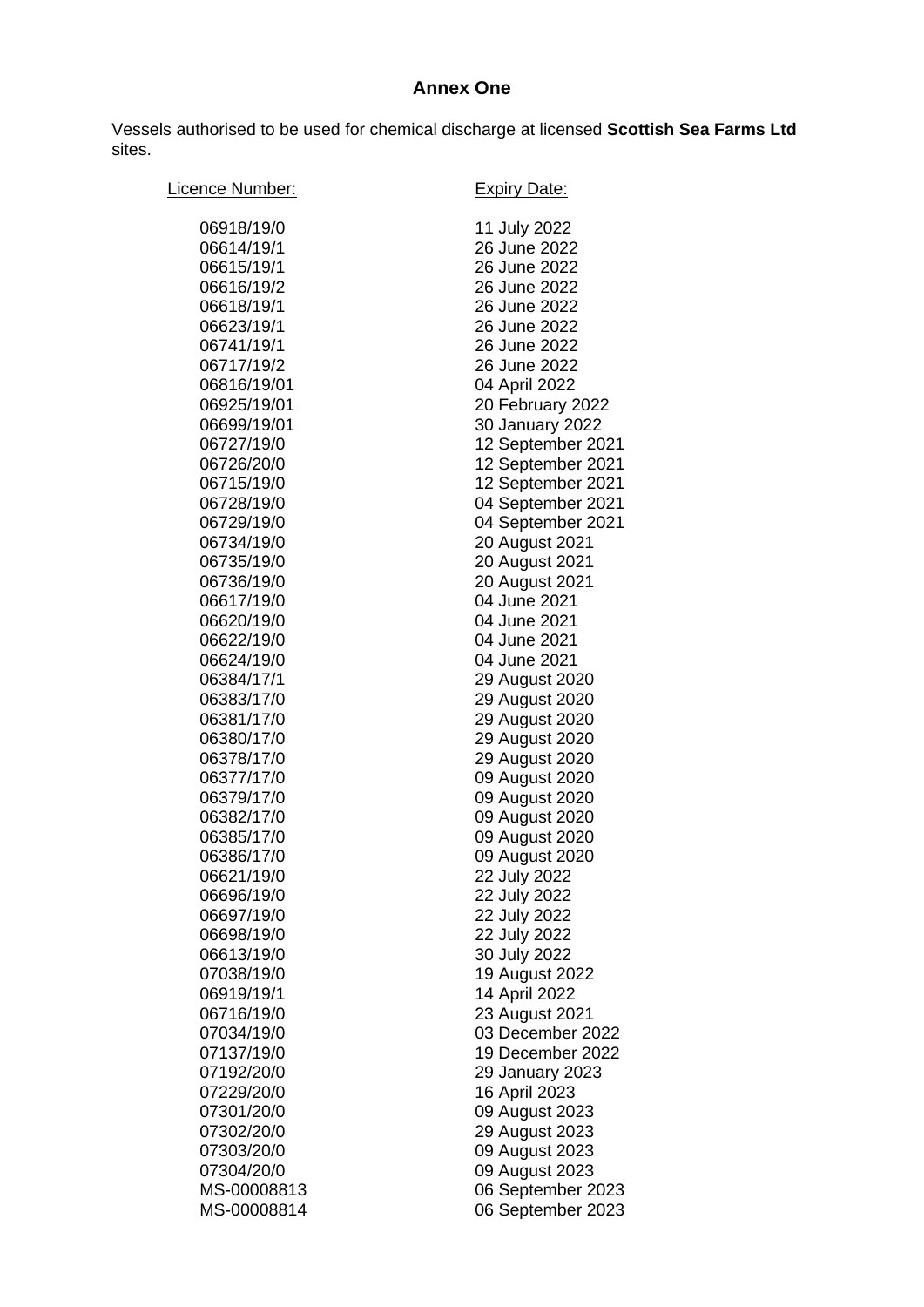## **Annex One**

Vessels authorised to be used for chemical discharge at licensed **Scottish Sea Farms Ltd** sites.

| Licence Number:          | <b>Expiry Date:</b>          |
|--------------------------|------------------------------|
| 06918/19/0               | 11 July 2022                 |
| 06614/19/1               | 26 June 2022                 |
| 06615/19/1               | 26 June 2022                 |
| 06616/19/2               | 26 June 2022                 |
| 06618/19/1               | 26 June 2022                 |
| 06623/19/1               | 26 June 2022                 |
| 06741/19/1               | 26 June 2022                 |
| 06717/19/2               | 26 June 2022                 |
| 06816/19/01              | 04 April 2022                |
| 06925/19/01              | 20 February 2022             |
| 06699/19/01              | 30 January 2022              |
| 06727/19/0               | 12 September 2021            |
| 06726/20/0               | 12 September 2021            |
| 06715/19/0               | 12 September 2021            |
| 06728/19/0               | 04 September 2021            |
| 06729/19/0               | 04 September 2021            |
| 06734/19/0               | 20 August 2021               |
| 06735/19/0               | 20 August 2021               |
| 06736/19/0               | 20 August 2021               |
| 06617/19/0               | 04 June 2021                 |
| 06620/19/0               | 04 June 2021                 |
| 06622/19/0               | 04 June 2021                 |
| 06624/19/0               | 04 June 2021                 |
| 06384/17/1               | 29 August 2020               |
| 06383/17/0               | 29 August 2020               |
| 06381/17/0               | 29 August 2020               |
| 06380/17/0               | 29 August 2020               |
| 06378/17/0               | 29 August 2020               |
| 06377/17/0               | 09 August 2020               |
| 06379/17/0               | 09 August 2020               |
| 06382/17/0               | 09 August 2020               |
| 06385/17/0               | 09 August 2020               |
| 06386/17/0               | 09 August 2020               |
| 06621/19/0               | 22 July 2022                 |
| 06696/19/0<br>06697/19/0 | 22 July 2022<br>22 July 2022 |
| 06698/19/0               | 22 July 2022                 |
| 06613/19/0               | 30 July 2022                 |
| 07038/19/0               | 19 August 2022               |
| 06919/19/1               | 14 April 2022                |
| 06716/19/0               | 23 August 2021               |
| 07034/19/0               | 03 December 2022             |
| 07137/19/0               | 19 December 2022             |
| 07192/20/0               | 29 January 2023              |
| 07229/20/0               | 16 April 2023                |
| 07301/20/0               | 09 August 2023               |
| 07302/20/0               | 29 August 2023               |
| 07303/20/0               | 09 August 2023               |
| 07304/20/0               | 09 August 2023               |
| MS-00008813              | 06 September 2023            |
| MS-00008814              | 06 September 2023            |